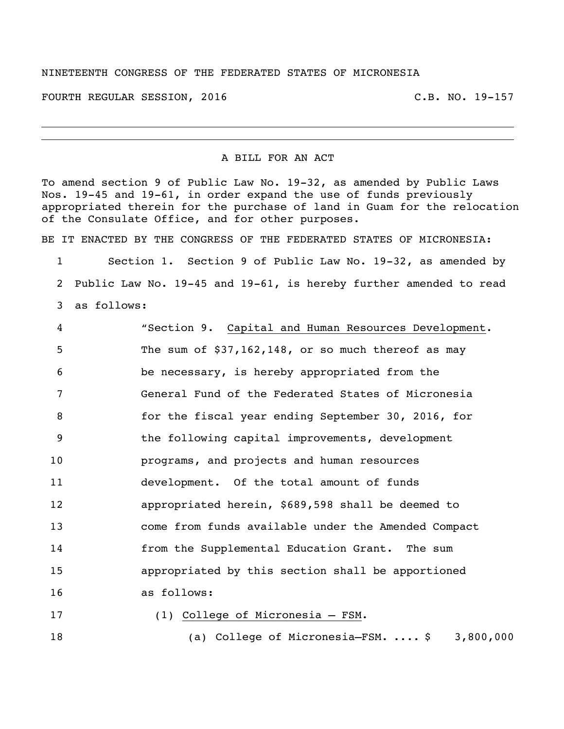## NINETEENTH CONGRESS OF THE FEDERATED STATES OF MICRONESIA

FOURTH REGULAR SESSION, 2016 C.B. NO. 19-157

## A BILL FOR AN ACT

To amend section 9 of Public Law No. 19-32, as amended by Public Laws Nos. 19-45 and 19-61, in order expand the use of funds previously appropriated therein for the purchase of land in Guam for the relocation of the Consulate Office, and for other purposes.

BE IT ENACTED BY THE CONGRESS OF THE FEDERATED STATES OF MICRONESIA:

 Section 1. Section 9 of Public Law No. 19-32, as amended by Public Law No. 19-45 and 19-61, is hereby further amended to read as follows:

| $\overline{4}$  | "Section 9. Capital and Human Resources Development. |
|-----------------|------------------------------------------------------|
| 5               | The sum of $$37,162,148$ , or so much thereof as may |
| 6               | be necessary, is hereby appropriated from the        |
| 7               | General Fund of the Federated States of Micronesia   |
| 8               | for the fiscal year ending September 30, 2016, for   |
| 9               | the following capital improvements, development      |
| 10              | programs, and projects and human resources           |
| 11              | development. Of the total amount of funds            |
| 12 <sup>2</sup> | appropriated herein, \$689,598 shall be deemed to    |
| 13              | come from funds available under the Amended Compact  |
| 14              | from the Supplemental Education Grant. The sum       |
| 15              | appropriated by this section shall be apportioned    |
| 16              | as follows:                                          |
| 17              | (1) College of Micronesia - FSM.                     |

(a) College of Micronesia–FSM. .... \$ 3,800,000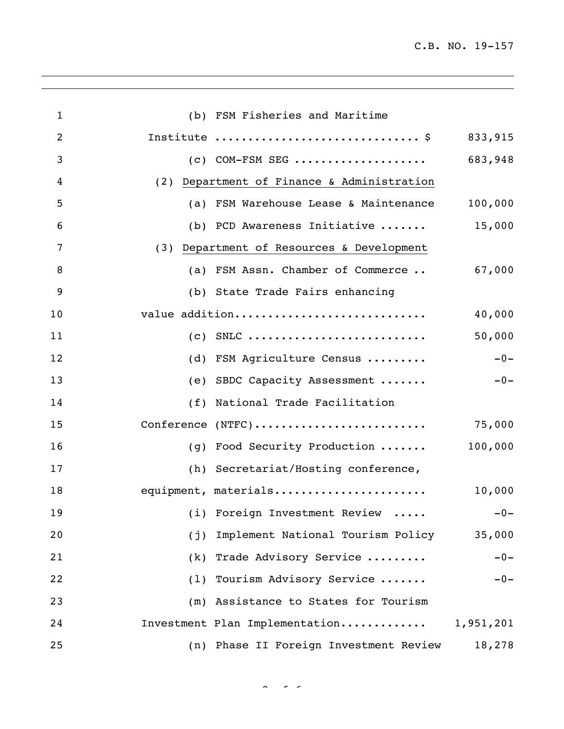| $\mathbf{1}$   |     | (b) FSM Fisheries and Maritime             |           |
|----------------|-----|--------------------------------------------|-----------|
| $\overline{2}$ |     | Institute  \$                              | 833,915   |
| 3              |     | $(c)$ COM-FSM SEG                          | 683,948   |
| 4              |     | (2) Department of Finance & Administration |           |
| 5              |     | (a) FSM Warehouse Lease & Maintenance      | 100,000   |
| 6              |     | (b) PCD Awareness Initiative               | 15,000    |
| 7              |     | (3) Department of Resources & Development  |           |
| 8              |     | (a) FSM Assn. Chamber of Commerce          | 67,000    |
| 9              |     | (b) State Trade Fairs enhancing            |           |
| 10             |     | value addition                             | 40,000    |
| 11             |     | $(c)$ SNLC                                 | 50,000    |
| 12             |     | (d) FSM Agriculture Census                 | $-0-$     |
| 13             |     | (e) SBDC Capacity Assessment               | $-0-$     |
| 14             |     | (f) National Trade Facilitation            |           |
| 15             |     | Conference (NTFC)                          | 75,000    |
| 16             |     | (g) Food Security Production  100,000      |           |
| 17             |     | (h) Secretariat/Hosting conference,        |           |
| 18             |     | equipment, materials                       | 10,000    |
| 19             |     | (i) Foreign Investment Review              | $-0-$     |
| 20             | (j) | Implement National Tourism Policy          | 35,000    |
| 21             | (k) | Trade Advisory Service                     | $-0-$     |
| 22             |     | (1) Tourism Advisory Service               | $-0-$     |
| 23             |     | (m) Assistance to States for Tourism       |           |
| 24             |     | Investment Plan Implementation             | 1,951,201 |
| 25             |     | (n) Phase II Foreign Investment Review     | 18,278    |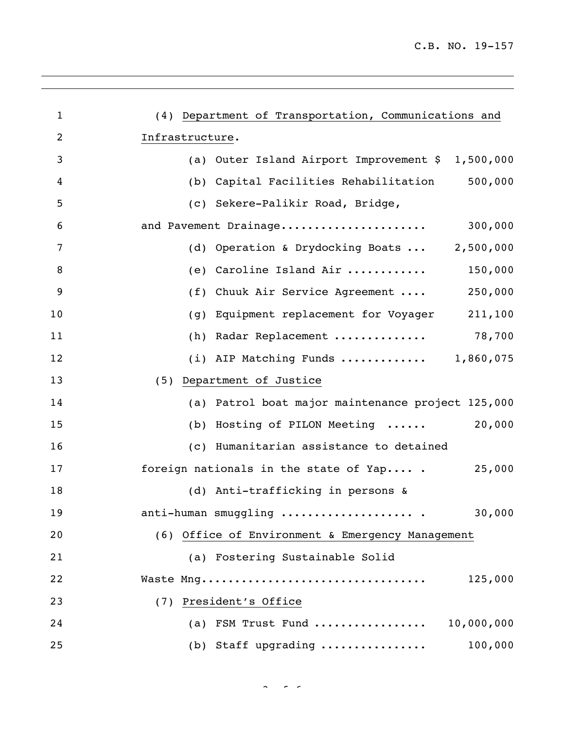| $\mathbf{1}$   | (4) Department of Transportation, Communications and |
|----------------|------------------------------------------------------|
| $\overline{2}$ | Infrastructure.                                      |
| 3              | (a) Outer Island Airport Improvement \$ 1,500,000    |
| 4              | 500,000<br>Capital Facilities Rehabilitation<br>(b)  |
| 5              | (c) Sekere-Palikir Road, Bridge,                     |
| 6              | and Pavement Drainage<br>300,000                     |
| 7              | (d) Operation & Drydocking Boats  2,500,000          |
| 8              | (e) Caroline Island Air<br>150,000                   |
| 9              | Chuuk Air Service Agreement<br>250,000<br>(f)        |
| 10             | Equipment replacement for Voyager 211,100<br>(g)     |
| 11             | (h) Radar Replacement $78,700$                       |
| 12             | (i) AIP Matching Funds $1,860,075$                   |
| 13             | (5) Department of Justice                            |
| 14             | (a) Patrol boat major maintenance project 125,000    |
| 15             | 20,000<br>(b) Hosting of PILON Meeting               |
| 16             | (c) Humanitarian assistance to detained              |
| 17             | foreign nationals in the state of Yap .<br>25,000    |
| 18             | (d) Anti-trafficking in persons &                    |
| 19             | anti-human smuggling  .<br>30,000                    |
| 20             | (6) Office of Environment & Emergency Management     |
| 21             | (a) Fostering Sustainable Solid                      |
| 22             | Waste Mng<br>125,000                                 |
| 23             | (7) President's Office                               |
| 24             | (a) FSM Trust Fund<br>10,000,000                     |
| 25             | 100,000<br>(b) Staff upgrading                       |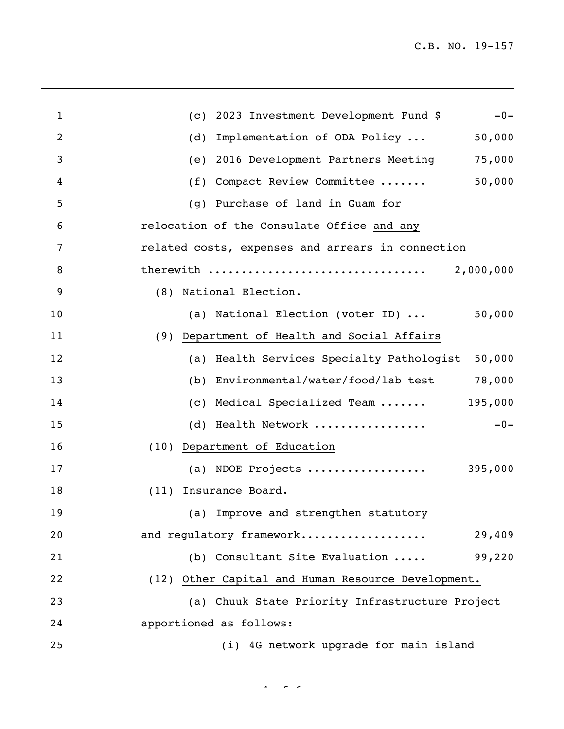| $\mathbf{1}$   | 2023 Investment Development Fund \$<br>$-0-$<br>(C) |
|----------------|-----------------------------------------------------|
| $\overline{2}$ | Implementation of ODA Policy<br>50,000<br>(d)       |
| 3              | 75,000<br>2016 Development Partners Meeting<br>(e)  |
| 4              | 50,000<br>Compact Review Committee<br>(f)           |
| 5              | Purchase of land in Guam for<br>(q)                 |
| 6              | relocation of the Consulate Office and any          |
| 7              | related costs, expenses and arrears in connection   |
| 8              | therewith<br>2,000,000                              |
| 9              | National Election.<br>(8)                           |
| 10             | 50,000<br>(a) National Election (voter ID)          |
| 11             | (9) Department of Health and Social Affairs         |
| 12             | 50,000<br>(a) Health Services Specialty Pathologist |
| 13             | Environmental/water/food/lab test<br>78,000<br>(b)  |
| 14             | 195,000<br>Medical Specialized Team<br>(C)          |
| 15             | (d) Health Network<br>$-0-$                         |
| 16             | (10) Department of Education                        |
| 17             | (a) NDOE Projects<br>395,000                        |
| 18             | (11) Insurance Board.                               |
| 19             | (a) Improve and strengthen statutory                |
| 20             | and requlatory framework<br>29,409                  |
| 21             | (b) Consultant Site Evaluation<br>99,220            |
| 22             | (12) Other Capital and Human Resource Development.  |
| 23             | (a) Chuuk State Priority Infrastructure Project     |
| 24             | apportioned as follows:                             |
| 25             | (i) 4G network upgrade for main island              |

 $4.4 \times 10^{-4}$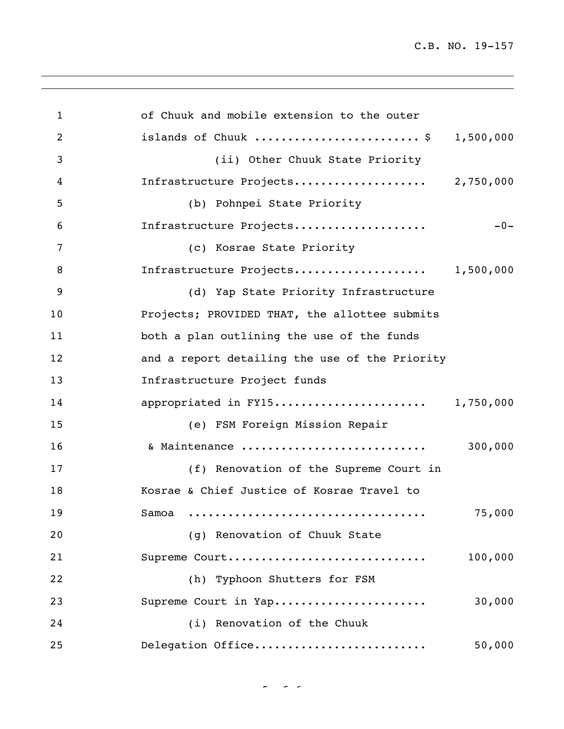C.B. NO. 19-157

| $\mathbf{1}$   | of Chuuk and mobile extension to the outer     |         |
|----------------|------------------------------------------------|---------|
| $\overline{2}$ | islands of Chuuk \$ 1,500,000                  |         |
| 3              | (ii) Other Chuuk State Priority                |         |
| 4              | Infrastructure Projects 2,750,000              |         |
| 5              | (b) Pohnpei State Priority                     |         |
| 6              | Infrastructure Projects                        | $-0-$   |
| 7              | (c) Kosrae State Priority                      |         |
| 8              | Infrastructure Projects 1,500,000              |         |
| 9              | (d) Yap State Priority Infrastructure          |         |
| 10             | Projects; PROVIDED THAT, the allottee submits  |         |
| 11             | both a plan outlining the use of the funds     |         |
| 12             | and a report detailing the use of the Priority |         |
| 13             | Infrastructure Project funds                   |         |
| 14             | appropriated in FY15 1,750,000                 |         |
| 15             | (e) FSM Foreign Mission Repair                 |         |
| 16             | & Maintenance                                  | 300,000 |
| 17             | (f) Renovation of the Supreme Court in         |         |
| 18             | Kosrae & Chief Justice of Kosrae Travel to     |         |
| 19             | Samoa                                          | 75,000  |
| 20             | (q) Renovation of Chuuk State                  |         |
| 21             | Supreme Court                                  | 100,000 |
| 22             | (h) Typhoon Shutters for FSM                   |         |
| 23             | Supreme Court in Yap                           | 30,000  |
| 24             | (i) Renovation of the Chuuk                    |         |
| 25             | Delegation Office                              | 50,000  |